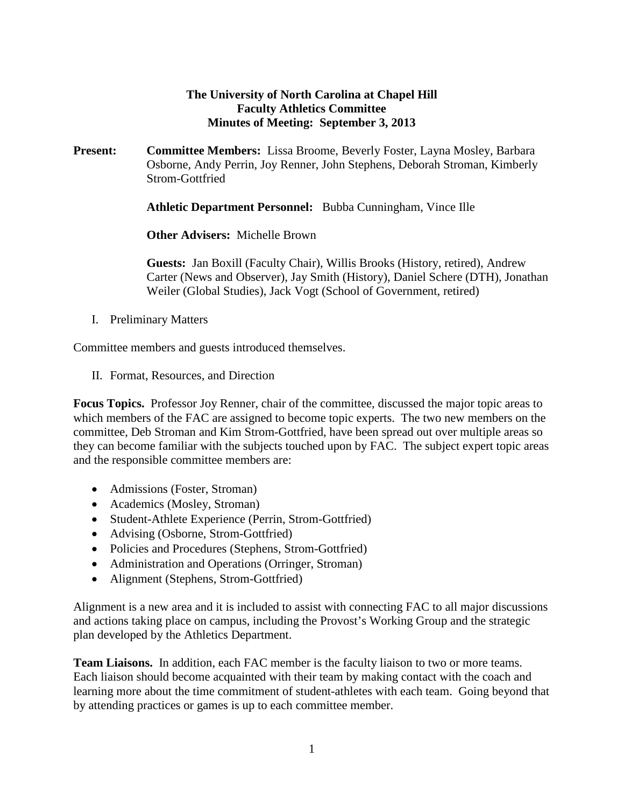## **The University of North Carolina at Chapel Hill Faculty Athletics Committee Minutes of Meeting: September 3, 2013**

**Present: Committee Members:** Lissa Broome, Beverly Foster, Layna Mosley, Barbara Osborne, Andy Perrin, Joy Renner, John Stephens, Deborah Stroman, Kimberly Strom-Gottfried

**Athletic Department Personnel:** Bubba Cunningham, Vince Ille

**Other Advisers:** Michelle Brown

**Guests:** Jan Boxill (Faculty Chair), Willis Brooks (History, retired), Andrew Carter (News and Observer), Jay Smith (History), Daniel Schere (DTH), Jonathan Weiler (Global Studies), Jack Vogt (School of Government, retired)

I. Preliminary Matters

Committee members and guests introduced themselves.

II. Format, Resources, and Direction

**Focus Topics.** Professor Joy Renner, chair of the committee, discussed the major topic areas to which members of the FAC are assigned to become topic experts. The two new members on the committee, Deb Stroman and Kim Strom-Gottfried, have been spread out over multiple areas so they can become familiar with the subjects touched upon by FAC. The subject expert topic areas and the responsible committee members are:

- Admissions (Foster, Stroman)
- Academics (Mosley, Stroman)
- Student-Athlete Experience (Perrin, Strom-Gottfried)
- Advising (Osborne, Strom-Gottfried)
- Policies and Procedures (Stephens, Strom-Gottfried)
- Administration and Operations (Orringer, Stroman)
- Alignment (Stephens, Strom-Gottfried)

Alignment is a new area and it is included to assist with connecting FAC to all major discussions and actions taking place on campus, including the Provost's Working Group and the strategic plan developed by the Athletics Department.

**Team Liaisons.** In addition, each FAC member is the faculty liaison to two or more teams. Each liaison should become acquainted with their team by making contact with the coach and learning more about the time commitment of student-athletes with each team. Going beyond that by attending practices or games is up to each committee member.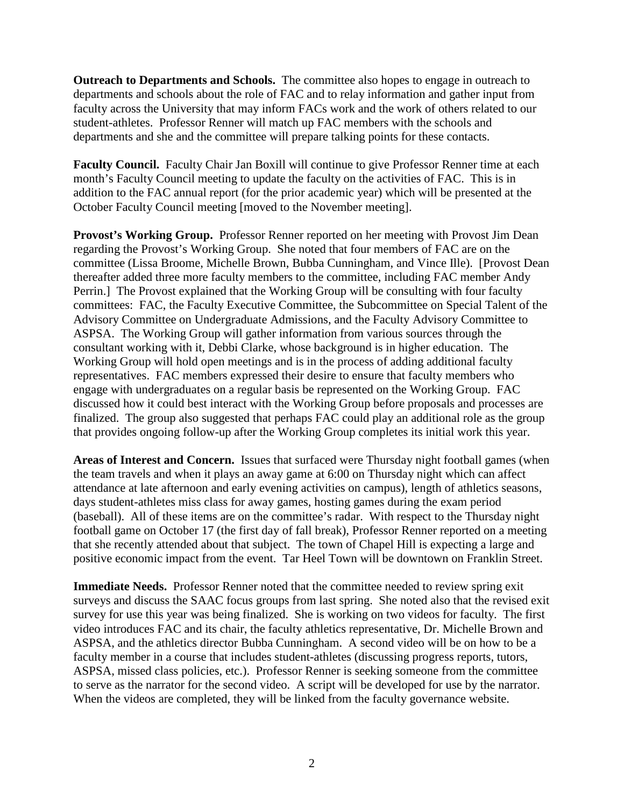**Outreach to Departments and Schools.** The committee also hopes to engage in outreach to departments and schools about the role of FAC and to relay information and gather input from faculty across the University that may inform FACs work and the work of others related to our student-athletes. Professor Renner will match up FAC members with the schools and departments and she and the committee will prepare talking points for these contacts.

**Faculty Council.** Faculty Chair Jan Boxill will continue to give Professor Renner time at each month's Faculty Council meeting to update the faculty on the activities of FAC. This is in addition to the FAC annual report (for the prior academic year) which will be presented at the October Faculty Council meeting [moved to the November meeting].

**Provost's Working Group.** Professor Renner reported on her meeting with Provost Jim Dean regarding the Provost's Working Group. She noted that four members of FAC are on the committee (Lissa Broome, Michelle Brown, Bubba Cunningham, and Vince Ille). [Provost Dean thereafter added three more faculty members to the committee, including FAC member Andy Perrin.] The Provost explained that the Working Group will be consulting with four faculty committees: FAC, the Faculty Executive Committee, the Subcommittee on Special Talent of the Advisory Committee on Undergraduate Admissions, and the Faculty Advisory Committee to ASPSA. The Working Group will gather information from various sources through the consultant working with it, Debbi Clarke, whose background is in higher education. The Working Group will hold open meetings and is in the process of adding additional faculty representatives. FAC members expressed their desire to ensure that faculty members who engage with undergraduates on a regular basis be represented on the Working Group. FAC discussed how it could best interact with the Working Group before proposals and processes are finalized. The group also suggested that perhaps FAC could play an additional role as the group that provides ongoing follow-up after the Working Group completes its initial work this year.

**Areas of Interest and Concern.** Issues that surfaced were Thursday night football games (when the team travels and when it plays an away game at 6:00 on Thursday night which can affect attendance at late afternoon and early evening activities on campus), length of athletics seasons, days student-athletes miss class for away games, hosting games during the exam period (baseball). All of these items are on the committee's radar. With respect to the Thursday night football game on October 17 (the first day of fall break), Professor Renner reported on a meeting that she recently attended about that subject. The town of Chapel Hill is expecting a large and positive economic impact from the event. Tar Heel Town will be downtown on Franklin Street.

**Immediate Needs.** Professor Renner noted that the committee needed to review spring exit surveys and discuss the SAAC focus groups from last spring. She noted also that the revised exit survey for use this year was being finalized. She is working on two videos for faculty. The first video introduces FAC and its chair, the faculty athletics representative, Dr. Michelle Brown and ASPSA, and the athletics director Bubba Cunningham. A second video will be on how to be a faculty member in a course that includes student-athletes (discussing progress reports, tutors, ASPSA, missed class policies, etc.). Professor Renner is seeking someone from the committee to serve as the narrator for the second video. A script will be developed for use by the narrator. When the videos are completed, they will be linked from the faculty governance website.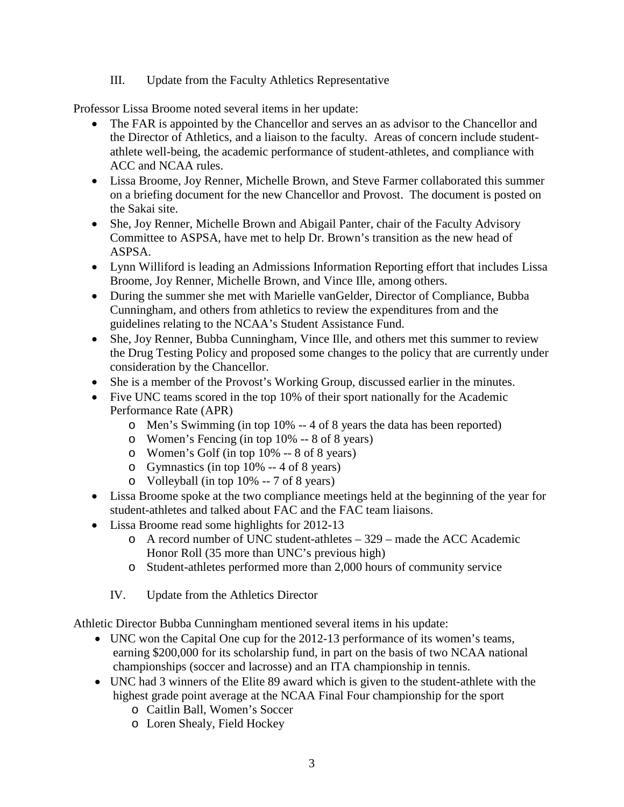III. Update from the Faculty Athletics Representative

Professor Lissa Broome noted several items in her update:

- The FAR is appointed by the Chancellor and serves an as advisor to the Chancellor and the Director of Athletics, and a liaison to the faculty. Areas of concern include studentathlete well-being, the academic performance of student-athletes, and compliance with ACC and NCAA rules.
- Lissa Broome, Joy Renner, Michelle Brown, and Steve Farmer collaborated this summer on a briefing document for the new Chancellor and Provost. The document is posted on the Sakai site.
- She, Joy Renner, Michelle Brown and Abigail Panter, chair of the Faculty Advisory Committee to ASPSA, have met to help Dr. Brown's transition as the new head of ASPSA.
- Lynn Williford is leading an Admissions Information Reporting effort that includes Lissa Broome, Joy Renner, Michelle Brown, and Vince Ille, among others.
- During the summer she met with Marielle vanGelder, Director of Compliance, Bubba Cunningham, and others from athletics to review the expenditures from and the guidelines relating to the NCAA's Student Assistance Fund.
- She, Joy Renner, Bubba Cunningham, Vince Ille, and others met this summer to review the Drug Testing Policy and proposed some changes to the policy that are currently under consideration by the Chancellor.
- She is a member of the Provost's Working Group, discussed earlier in the minutes.
- Five UNC teams scored in the top 10% of their sport nationally for the Academic Performance Rate (APR)
	- o Men's Swimming (in top 10% -- 4 of 8 years the data has been reported)
	- o Women's Fencing (in top 10% -- 8 of 8 years)
	- o Women's Golf (in top 10% -- 8 of 8 years)
	- o Gymnastics (in top 10% -- 4 of 8 years)
	- o Volleyball (in top 10% -- 7 of 8 years)
- Lissa Broome spoke at the two compliance meetings held at the beginning of the year for student-athletes and talked about FAC and the FAC team liaisons.
- Lissa Broome read some highlights for 2012-13
	- o A record number of UNC student-athletes 329 made the ACC Academic Honor Roll (35 more than UNC's previous high)
	- o Student-athletes performed more than 2,000 hours of community service
	- IV. Update from the Athletics Director

Athletic Director Bubba Cunningham mentioned several items in his update:

- UNC won the Capital One cup for the 2012-13 performance of its women's teams, earning \$200,000 for its scholarship fund, in part on the basis of two NCAA national championships (soccer and lacrosse) and an ITA championship in tennis.
- UNC had 3 winners of the Elite 89 award which is given to the student-athlete with the highest grade point average at the NCAA Final Four championship for the sport
	- o Caitlin Ball, Women's Soccer
	- o Loren Shealy, Field Hockey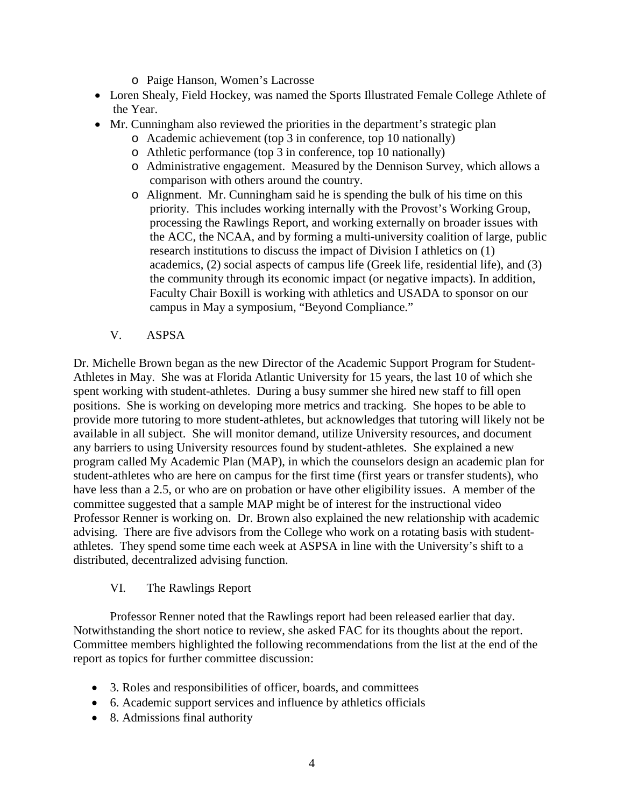- o Paige Hanson, Women's Lacrosse
- Loren Shealy, Field Hockey, was named the Sports Illustrated Female College Athlete of the Year.
- Mr. Cunningham also reviewed the priorities in the department's strategic plan
	- o Academic achievement (top 3 in conference, top 10 nationally)
	- o Athletic performance (top 3 in conference, top 10 nationally)
	- o Administrative engagement. Measured by the Dennison Survey, which allows a comparison with others around the country.
	- o Alignment. Mr. Cunningham said he is spending the bulk of his time on this priority. This includes working internally with the Provost's Working Group, processing the Rawlings Report, and working externally on broader issues with the ACC, the NCAA, and by forming a multi-university coalition of large, public research institutions to discuss the impact of Division I athletics on (1) academics, (2) social aspects of campus life (Greek life, residential life), and (3) the community through its economic impact (or negative impacts). In addition, Faculty Chair Boxill is working with athletics and USADA to sponsor on our campus in May a symposium, "Beyond Compliance."
	- V. ASPSA

Dr. Michelle Brown began as the new Director of the Academic Support Program for Student-Athletes in May. She was at Florida Atlantic University for 15 years, the last 10 of which she spent working with student-athletes. During a busy summer she hired new staff to fill open positions. She is working on developing more metrics and tracking. She hopes to be able to provide more tutoring to more student-athletes, but acknowledges that tutoring will likely not be available in all subject. She will monitor demand, utilize University resources, and document any barriers to using University resources found by student-athletes. She explained a new program called My Academic Plan (MAP), in which the counselors design an academic plan for student-athletes who are here on campus for the first time (first years or transfer students), who have less than a 2.5, or who are on probation or have other eligibility issues. A member of the committee suggested that a sample MAP might be of interest for the instructional video Professor Renner is working on. Dr. Brown also explained the new relationship with academic advising. There are five advisors from the College who work on a rotating basis with studentathletes. They spend some time each week at ASPSA in line with the University's shift to a distributed, decentralized advising function.

## VI. The Rawlings Report

Professor Renner noted that the Rawlings report had been released earlier that day. Notwithstanding the short notice to review, she asked FAC for its thoughts about the report. Committee members highlighted the following recommendations from the list at the end of the report as topics for further committee discussion:

- 3. Roles and responsibilities of officer, boards, and committees
- 6. Academic support services and influence by athletics officials
- 8. Admissions final authority